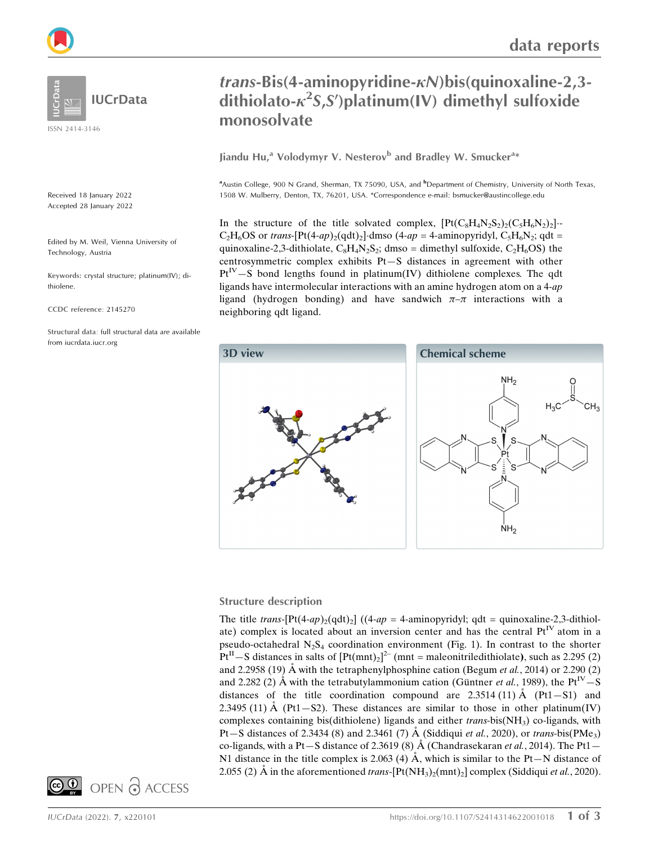

ISSN 2414-3146

Received 18 January 2022 Accepted 28 January 2022

Edited by M. Weil, Vienna University of Technology, Austria

Keywords: crystal structure; platinum(IV); dithiolene.

CCDC reference: 2145270

Structural data: full structural data are available from iucrdata.iucr.org

## $trans-Bis(4-aminopyridine- $\kappa$ N)**bis(quinoxali**ne-2,3$ dithiolato- $\kappa^2$ S,S')platinum(IV) dimethyl sulfoxide monosolvate

Jiandu Hu,<sup>a</sup> Volodymyr V. Nesterov<sup>b</sup> and Bradley W. Smucker<sup>a\*</sup>

<sup>a</sup>Austin College, 900 N Grand, Sherman, TX 75090, USA, and <sup>b</sup>Department of Chemistry, University of North Texas, 1508 W. Mulberry, Denton, TX, 76201, USA. \*Correspondence e-mail: bsmucker@austincollege.edu

In the structure of the title solvated complex,  $[Pt(C_8H_4N_2S_2)_2(C_5H_6N_2)_2]$  $C_2H_6OS$  or trans-[Pt(4-ap)<sub>2</sub>(qdt)<sub>2</sub>] dmso (4-ap = 4-aminopyridyl,  $C_5H_6N_2$ ; qdt = quinoxaline-2,3-dithiolate,  $C_8H_4N_2S_2$ ; dmso = dimethyl sulfoxide,  $C_2H_6OS$ ) the centrosymmetric complex exhibits Pt—S distances in agreement with other  $Pt^{IV}-S$  bond lengths found in platinum(IV) dithiolene complexes. The qdt ligands have intermolecular interactions with an amine hydrogen atom on a 4-ap ligand (hydrogen bonding) and have sandwich  $\pi-\pi$  interactions with a neighboring qdt ligand.



#### Structure description

The title trans- $[Pt(4-ap)_2(qdt)_2]$  ((4-ap = 4-aminopyridyl; qdt = quinoxaline-2,3-dithiolate) complex is located about an inversion center and has the central  $Pt^{IV}$  atom in a pseudo-octahedral  $N_2S_4$  coordination environment (Fig. 1). In contrast to the shorter  $Pt^{II} - S$  distances in salts of  $[Pt(mnt)_2]^2$ <sup>-</sup> (mnt = maleonitriledithiolate), such as 2.295 (2) and 2.2958 (19) Å with the tetraphenylphosphine cation (Begum et al., 2014) or 2.290 (2) and 2.282 (2)  $\AA$  with the tetrabutylammonium cation (Güntner *et al.*, 1989), the Pt<sup>IV</sup>-S distances of the title coordination compound are  $2.3514 (11)$  Å (Pt1–S1) and 2.3495 (11)  $\dot{A}$  (Pt1-S2). These distances are similar to those in other platinum(IV) complexes containing bis(dithiolene) ligands and either  $trans\text{-}bis(NH_3)$  co-ligands, with Pt – S distances of 2.3434 (8) and 2.3461 (7)  $\AA$  (Siddiqui et al., 2020), or trans-bis(PMe<sub>3</sub>) co-ligands, with a Pt-S distance of 2.3619 (8)  $\AA$  (Chandrasekaran *et al.*, 2014). The Pt1-N1 distance in the title complex is 2.063 (4)  $\AA$ , which is similar to the Pt-N distance of 2.055 (2) Å in the aforementioned trans- $[Pt(NH_3)_2(mnt)_2]$  complex (Siddiqui *et al.*, 2020).

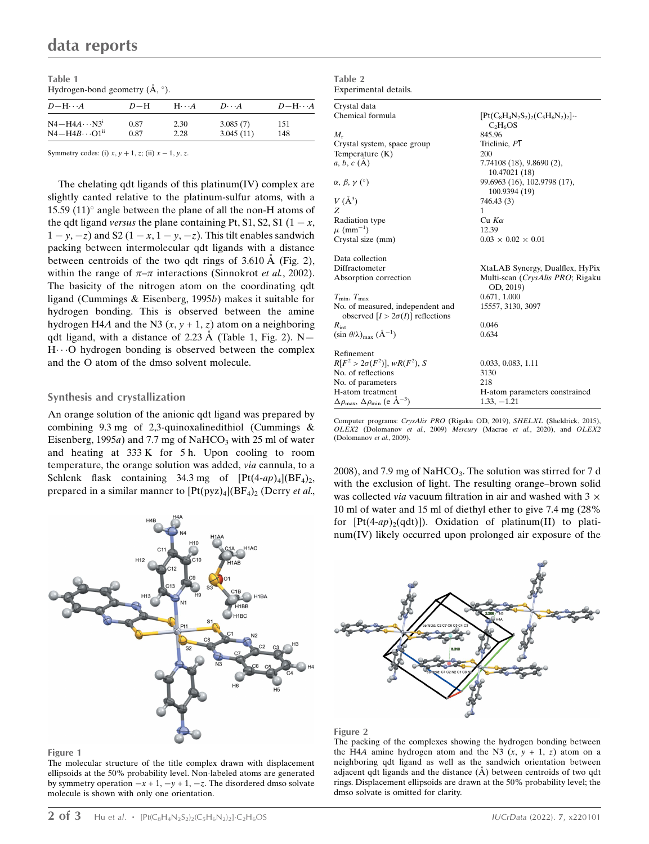Table 1 Hydrogen-bond geometry  $(\AA, \degree)$ .

| $D$ -H $\cdots$ A                    | $D-H$ | $H\cdots A$ | $D \cdot \cdot \cdot A$ | $D-H\cdots A$ |
|--------------------------------------|-------|-------------|-------------------------|---------------|
| $N4 - H4A \cdots N3^i$               | 0.87  | 2.30        | 3.085(7)                | 151           |
| $N4 - H4B \cdot \cdot \cdot O1^{ii}$ | 0.87  | 2.28        | 3.045(11)               | 148           |

Symmetry codes: (i)  $x, y + 1, z$ ; (ii)  $x - 1, y, z$ .

The chelating qdt ligands of this platinum(IV) complex are slightly canted relative to the platinum-sulfur atoms, with a 15.59 (11) $^{\circ}$  angle between the plane of all the non-H atoms of the qdt ligand versus the plane containing Pt, S1, S2, S1 ( $1 - x$ ,  $1 - y, -z$ ) and S2 ( $1 - x, 1 - y, -z$ ). This tilt enables sandwich packing between intermolecular qdt ligands with a distance between centroids of the two qdt rings of  $3.610 \text{ Å}$  (Fig. 2), within the range of  $\pi-\pi$  interactions (Sinnokrot *et al.*, 2002). The basicity of the nitrogen atom on the coordinating qdt ligand (Cummings & Eisenberg, 1995b) makes it suitable for hydrogen bonding. This is observed between the amine hydrogen H4A and the N3  $(x, y + 1, z)$  atom on a neighboring qdt ligand, with a distance of 2.23  $\AA$  (Table 1, Fig. 2). N-H...O hydrogen bonding is observed between the complex and the O atom of the dmso solvent molecule.

#### Synthesis and crystallization

An orange solution of the anionic qdt ligand was prepared by combining 9.3 mg of 2,3-quinoxalinedithiol (Cummings & Eisenberg, 1995a) and 7.7 mg of NaHCO<sub>3</sub> with 25 ml of water and heating at 333 K for 5 h. Upon cooling to room temperature, the orange solution was added, via cannula, to a Schlenk flask containing 34.3 mg of  $[Pt(4-ap)_4](BF_4)_2$ , prepared in a similar manner to  $[Pt(pyz)_4](BF_4)_2$  (Derry et al.,



#### Figure 1

The molecular structure of the title complex drawn with displacement ellipsoids at the 50% probability level. Non-labeled atoms are generated by symmetry operation  $-x + 1$ ,  $-y + 1$ ,  $-z$ . The disordered dmso solvate molecule is shown with only one orientation.

| Experimental details.                                                       |                                                     |
|-----------------------------------------------------------------------------|-----------------------------------------------------|
| Crystal data                                                                |                                                     |
| Chemical formula                                                            | $[Pt(C_8H_4N_2S_2)_2(C_5H_6N_2)_2]$ .<br>$C_2H_6OS$ |
| $M_{r}$                                                                     | 845.96                                              |
| Crystal system, space group                                                 | Triclinic, P1                                       |
| Temperature $(K)$                                                           | 200                                                 |
| a, b, c (A)                                                                 | 7.74108(18), 9.8690(2),<br>10.47021 (18)            |
| $\alpha$ , $\beta$ , $\gamma$ (°)                                           | 99.6963 (16), 102.9798 (17),<br>100.9394 (19)       |
| $V(\AA^3)$                                                                  | 746.43 (3)                                          |
| Z                                                                           | 1                                                   |
| <b>Radiation type</b>                                                       | $Cu$ K $\alpha$                                     |
| $\mu$ (mm <sup>-1</sup> )                                                   | 12.39                                               |
| Crystal size (mm)                                                           | $0.03 \times 0.02 \times 0.01$                      |
| Data collection                                                             |                                                     |
| Diffractometer                                                              | XtaLAB Synergy, Dualflex, HyPix                     |
| Absorption correction                                                       | Multi-scan (CrysAlis PRO; Rigaku<br>OD, 2019)       |
| $T_{\min}, T_{\max}$                                                        | 0.671, 1.000                                        |
| No. of measured, independent and<br>observed $[I > 2\sigma(I)]$ reflections | 15557, 3130, 3097                                   |
| $R_{\text{int}}$                                                            | 0.046                                               |
| $(\sin \theta/\lambda)_{\text{max}} (\AA^{-1})$                             | 0.634                                               |
| Refinement                                                                  |                                                     |
| $R[F^2 > 2\sigma(F^2)], wR(F^2), S$                                         | 0.033, 0.083, 1.11                                  |
| No. of reflections                                                          | 3130                                                |
| No. of parameters                                                           | 218                                                 |
| H-atom treatment                                                            | H-atom parameters constrained                       |
| $\Delta\rho_{\text{max}}$ , $\Delta\rho_{\text{min}}$ (e Å <sup>-3</sup> )  | $1.33, -1.21$                                       |

Computer programs: CrysAlis PRO (Rigaku OD, 2019), SHELXL (Sheldrick, 2015), OLEX2 (Dolomanov et al., 2009) Mercury (Macrae et al., 2020), and OLEX2 (Dolomanov et al., 2009).

2008), and 7.9 mg of NaHCO<sub>3</sub>. The solution was stirred for 7 d with the exclusion of light. The resulting orange–brown solid was collected *via* vacuum filtration in air and washed with  $3 \times$ 10 ml of water and 15 ml of diethyl ether to give 7.4 mg (28% for  $[Pt(4-ap)_2(qdt)]$ ). Oxidation of platinum(II) to platinum(IV) likely occurred upon prolonged air exposure of the



#### Figure 2

Table 2

The packing of the complexes showing the hydrogen bonding between the H4A amine hydrogen atom and the N3  $(x, y + 1, z)$  atom on a neighboring qdt ligand as well as the sandwich orientation between adjacent qdt ligands and the distance  $(A)$  between centroids of two qdt rings. Displacement ellipsoids are drawn at the 50% probability level; the dmso solvate is omitted for clarity.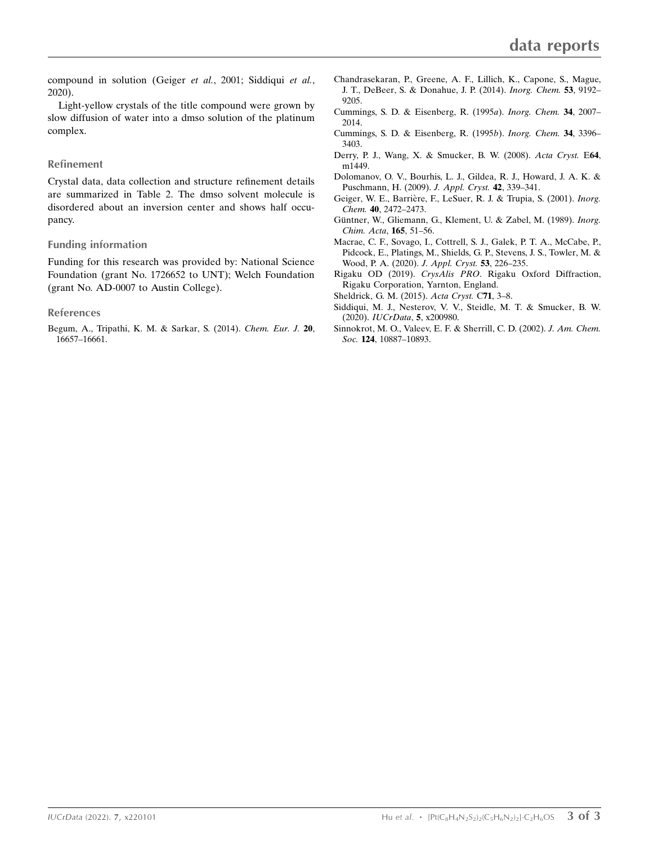compound in solution (Geiger et al., 2001; Siddiqui et al., 2020).

Light-yellow crystals of the title compound were grown by slow diffusion of water into a dmso solution of the platinum complex.

#### Refinement

Crystal data, data collection and structure refinement details are summarized in Table 2. The dmso solvent molecule is disordered about an inversion center and shows half occupancy.

#### Funding information

Funding for this research was provided by: National Science Foundation (grant No. 1726652 to UNT); Welch Foundation (grant No. AD-0007 to Austin College).

#### References

[Begum, A., Tripathi, K. M. & Sarkar, S. \(2014\).](http://scripts.iucr.org/cgi-bin/cr.cgi?rm=pdfbb&cnor=wm4160&bbid=BB1) Chem. Eur. J. 20, [16657–16661.](http://scripts.iucr.org/cgi-bin/cr.cgi?rm=pdfbb&cnor=wm4160&bbid=BB1)

- [Chandrasekaran, P., Greene, A. F., Lillich, K., Capone, S., Mague,](http://scripts.iucr.org/cgi-bin/cr.cgi?rm=pdfbb&cnor=wm4160&bbid=BB2) [J. T., DeBeer, S. & Donahue, J. P. \(2014\).](http://scripts.iucr.org/cgi-bin/cr.cgi?rm=pdfbb&cnor=wm4160&bbid=BB2) Inorg. Chem. 53, 9192– [9205.](http://scripts.iucr.org/cgi-bin/cr.cgi?rm=pdfbb&cnor=wm4160&bbid=BB2)
- [Cummings, S. D. & Eisenberg, R. \(1995](http://scripts.iucr.org/cgi-bin/cr.cgi?rm=pdfbb&cnor=wm4160&bbid=BB3)a). Inorg. Chem. 34, 2007– [2014.](http://scripts.iucr.org/cgi-bin/cr.cgi?rm=pdfbb&cnor=wm4160&bbid=BB3)
- [Cummings, S. D. & Eisenberg, R. \(1995](http://scripts.iucr.org/cgi-bin/cr.cgi?rm=pdfbb&cnor=wm4160&bbid=BB4)b). Inorg. Chem. 34, 3396– [3403.](http://scripts.iucr.org/cgi-bin/cr.cgi?rm=pdfbb&cnor=wm4160&bbid=BB4)
- [Derry, P. J., Wang, X. & Smucker, B. W. \(2008\).](http://scripts.iucr.org/cgi-bin/cr.cgi?rm=pdfbb&cnor=wm4160&bbid=BB5) Acta Cryst. E64, [m1449.](http://scripts.iucr.org/cgi-bin/cr.cgi?rm=pdfbb&cnor=wm4160&bbid=BB5)
- [Dolomanov, O. V., Bourhis, L. J., Gildea, R. J., Howard, J. A. K. &](http://scripts.iucr.org/cgi-bin/cr.cgi?rm=pdfbb&cnor=wm4160&bbid=BB6) [Puschmann, H. \(2009\).](http://scripts.iucr.org/cgi-bin/cr.cgi?rm=pdfbb&cnor=wm4160&bbid=BB6) J. Appl. Cryst. 42, 339–341.
- Geiger, W. E., Barrière, F., LeSuer, R. J. & Trupia, S. (2001). Inorg. Chem. 40[, 2472–2473.](http://scripts.iucr.org/cgi-bin/cr.cgi?rm=pdfbb&cnor=wm4160&bbid=BB7)
- Güntner, W., Gliemann, G., Klement, U. & Zabel, M. (1989). Inorg. [Chim. Acta](http://scripts.iucr.org/cgi-bin/cr.cgi?rm=pdfbb&cnor=wm4160&bbid=BB8), 165, 51–56.
- [Macrae, C. F., Sovago, I., Cottrell, S. J., Galek, P. T. A., McCabe, P.,](http://scripts.iucr.org/cgi-bin/cr.cgi?rm=pdfbb&cnor=wm4160&bbid=BB9) [Pidcock, E., Platings, M., Shields, G. P., Stevens, J. S., Towler, M. &](http://scripts.iucr.org/cgi-bin/cr.cgi?rm=pdfbb&cnor=wm4160&bbid=BB9) [Wood, P. A. \(2020\).](http://scripts.iucr.org/cgi-bin/cr.cgi?rm=pdfbb&cnor=wm4160&bbid=BB9) J. Appl. Cryst. 53, 226–235.
- Rigaku OD (2019). CrysAlis PRO[. Rigaku Oxford Diffraction,](http://scripts.iucr.org/cgi-bin/cr.cgi?rm=pdfbb&cnor=wm4160&bbid=BB10) [Rigaku Corporation, Yarnton, England.](http://scripts.iucr.org/cgi-bin/cr.cgi?rm=pdfbb&cnor=wm4160&bbid=BB10)
- [Sheldrick, G. M. \(2015\).](http://scripts.iucr.org/cgi-bin/cr.cgi?rm=pdfbb&cnor=wm4160&bbid=BB11) Acta Cryst. C71, 3–8.
- [Siddiqui, M. J., Nesterov, V. V., Steidle, M. T. & Smucker, B. W.](http://scripts.iucr.org/cgi-bin/cr.cgi?rm=pdfbb&cnor=wm4160&bbid=BB12) (2020). [IUCrData](http://scripts.iucr.org/cgi-bin/cr.cgi?rm=pdfbb&cnor=wm4160&bbid=BB12), 5, x200980.
- [Sinnokrot, M. O., Valeev, E. F. & Sherrill, C. D. \(2002\).](http://scripts.iucr.org/cgi-bin/cr.cgi?rm=pdfbb&cnor=wm4160&bbid=BB13) J. Am. Chem. Soc. 124[, 10887–10893.](http://scripts.iucr.org/cgi-bin/cr.cgi?rm=pdfbb&cnor=wm4160&bbid=BB13)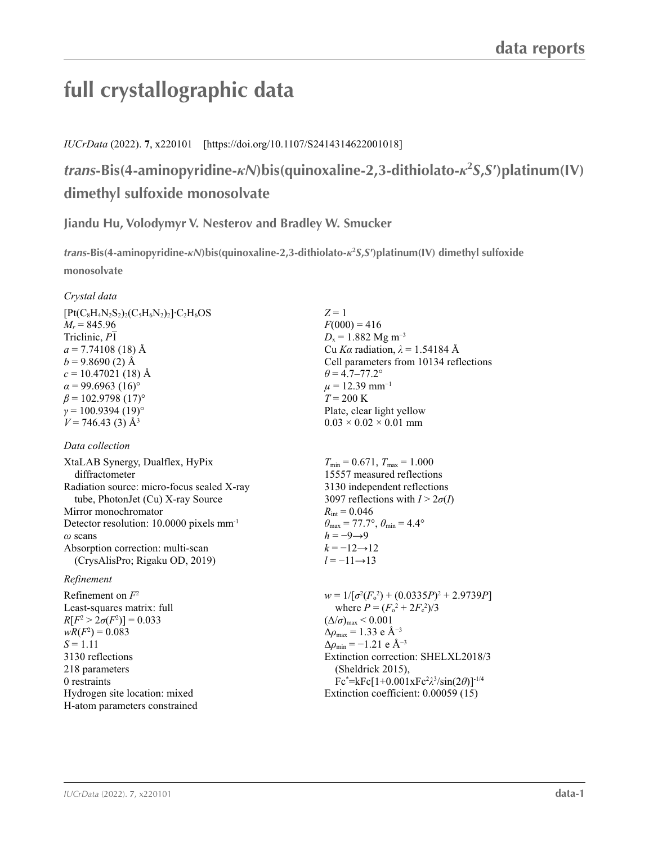# **full crystallographic data**

## *IUCrData* (2022). **7**, x220101 [https://doi.org/10.1107/S2414314622001018]

# *trans***-Bis(4-aminopyridine-***κN***)bis(quinoxaline-2,3-dithiolato-***κ***<sup>2</sup>** *S***,***S***′)platinum(IV) dimethyl sulfoxide monosolvate**

## **Jiandu Hu, Volodymyr V. Nesterov and Bradley W. Smucker**

*trans***-Bis(4-aminopyridine-***κN***)bis(quinoxaline-2,3-dithiolato-***κ***<sup>2</sup>** *S***,***S***′)platinum(IV) dimethyl sulfoxide monosolvate** 

## *Crystal data*

| $[Pt(C_8H_4N_2S_2)_2(C_5H_6N_2)_2]$ ·C <sub>2</sub> H <sub>6</sub> OS |
|-----------------------------------------------------------------------|
| $M_r = 845.96$                                                        |
| Triclinic, P1                                                         |
| $a = 7.74108(18)$ Å                                                   |
| $b = 9.8690(2)$ Å                                                     |
| $c = 10.47021$ (18) Å                                                 |
| $\alpha$ = 99.6963 (16)°                                              |
| $\beta$ = 102.9798 (17) <sup>o</sup>                                  |
| $\gamma = 100.9394(19)$ °                                             |
| $V = 746.43$ (3) Å <sup>3</sup>                                       |

## *Data collection*

XtaLAB Synergy, Dualflex, HyPix diffractometer Radiation source: micro-focus sealed X-ray tube, PhotonJet (Cu) X-ray Source Mirror monochromator Detector resolution: 10.0000 pixels mm-1 *ω* scans Absorption correction: multi-scan (CrysAlisPro; Rigaku OD, 2019)

## *Refinement*

Refinement on *F*<sup>2</sup> Least-squares matrix: full  $R[F^2 > 2\sigma(F^2)] = 0.033$  $wR(F^2) = 0.083$  $S = 1.11$ 3130 reflections 218 parameters 0 restraints Hydrogen site location: mixed H-atom parameters constrained *Z* = 1  $F(000) = 416$  $D_x = 1.882$  Mg m<sup>-3</sup> Cu *Kα* radiation, *λ* = 1.54184 Å Cell parameters from 10134 reflections  $\theta$  = 4.7–77.2°  $\mu = 12.39$  mm<sup>-1</sup>  $T = 200 \text{ K}$ Plate, clear light yellow  $0.03 \times 0.02 \times 0.01$  mm

 $T_{\text{min}} = 0.671$ ,  $T_{\text{max}} = 1.000$ 15557 measured reflections 3130 independent reflections 3097 reflections with  $I > 2\sigma(I)$  $R_{\text{int}} = 0.046$  $\theta_{\text{max}} = 77.7^{\circ}, \theta_{\text{min}} = 4.4^{\circ}$  $h = -9 \rightarrow 9$  $k = -12 \rightarrow 12$  $l = -11 \rightarrow 13$ 

 $w = 1/[\sigma^2 (F_0^2) + (0.0335P)^2 + 2.9739P]$ where  $P = (F_o^2 + 2F_c^2)/3$  $(\Delta/\sigma)_{\text{max}}$  < 0.001  $Δρ<sub>max</sub> = 1.33 e Å<sup>-3</sup>$  $\Delta \rho_{\rm min} = -1.21$  e Å<sup>-3</sup> Extinction correction: SHELXL2018/3 (Sheldrick 2015), Fc\* =kFc[1+0.001xFc2 *λ*3 /sin(2*θ*)]-1/4 Extinction coefficient: 0.00059 (15)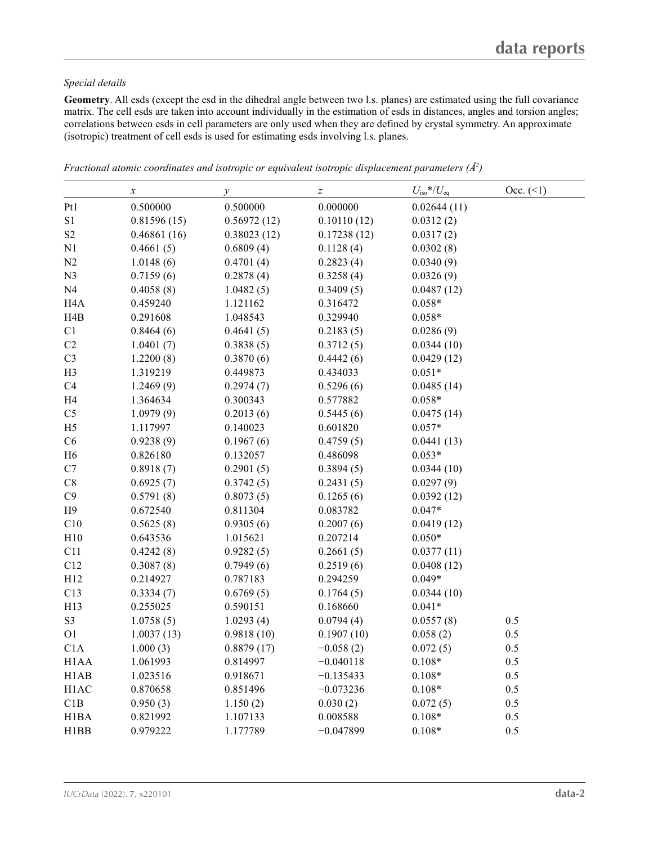### *Special details*

**Geometry**. All esds (except the esd in the dihedral angle between two l.s. planes) are estimated using the full covariance matrix. The cell esds are taken into account individually in the estimation of esds in distances, angles and torsion angles; correlations between esds in cell parameters are only used when they are defined by crystal symmetry. An approximate (isotropic) treatment of cell esds is used for estimating esds involving l.s. planes.

|                   | $\boldsymbol{x}$ | $\mathcal{V}$ | $\boldsymbol{Z}$ | $U_{\rm iso}*/U_{\rm eq}$ | $Occ. ( \le 1)$ |
|-------------------|------------------|---------------|------------------|---------------------------|-----------------|
| Pt1               | 0.500000         | 0.500000      | 0.000000         | 0.02644(11)               |                 |
| S1                | 0.81596(15)      | 0.56972(12)   | 0.10110(12)      | 0.0312(2)                 |                 |
| $\mathbf{S2}$     | 0.46861(16)      | 0.38023(12)   | 0.17238(12)      | 0.0317(2)                 |                 |
| N1                | 0.4661(5)        | 0.6809(4)     | 0.1128(4)        | 0.0302(8)                 |                 |
| N2                | 1.0148(6)        | 0.4701(4)     | 0.2823(4)        | 0.0340(9)                 |                 |
| N <sub>3</sub>    | 0.7159(6)        | 0.2878(4)     | 0.3258(4)        | 0.0326(9)                 |                 |
| N <sub>4</sub>    | 0.4058(8)        | 1.0482(5)     | 0.3409(5)        | 0.0487(12)                |                 |
| H <sub>4</sub> A  | 0.459240         | 1.121162      | 0.316472         | $0.058*$                  |                 |
| H4B               | 0.291608         | 1.048543      | 0.329940         | $0.058*$                  |                 |
| C1                | 0.8464(6)        | 0.4641(5)     | 0.2183(5)        | 0.0286(9)                 |                 |
| C2                | 1.0401(7)        | 0.3838(5)     | 0.3712(5)        | 0.0344(10)                |                 |
| C <sub>3</sub>    | 1.2200(8)        | 0.3870(6)     | 0.4442(6)        | 0.0429(12)                |                 |
| H <sub>3</sub>    | 1.319219         | 0.449873      | 0.434033         | $0.051*$                  |                 |
| C4                | 1.2469(9)        | 0.2974(7)     | 0.5296(6)        | 0.0485(14)                |                 |
| H <sub>4</sub>    | 1.364634         | 0.300343      | 0.577882         | $0.058*$                  |                 |
| C <sub>5</sub>    | 1.0979(9)        | 0.2013(6)     | 0.5445(6)        | 0.0475(14)                |                 |
| H <sub>5</sub>    | 1.117997         | 0.140023      | 0.601820         | $0.057*$                  |                 |
| C6                | 0.9238(9)        | 0.1967(6)     | 0.4759(5)        | 0.0441(13)                |                 |
| H6                | 0.826180         | 0.132057      | 0.486098         | $0.053*$                  |                 |
| C7                | 0.8918(7)        | 0.2901(5)     | 0.3894(5)        | 0.0344(10)                |                 |
| $\rm C8$          | 0.6925(7)        | 0.3742(5)     | 0.2431(5)        | 0.0297(9)                 |                 |
| C9                | 0.5791(8)        | 0.8073(5)     | 0.1265(6)        | 0.0392(12)                |                 |
| H9                | 0.672540         | 0.811304      | 0.083782         | $0.047*$                  |                 |
| C10               | 0.5625(8)        | 0.9305(6)     | 0.2007(6)        | 0.0419(12)                |                 |
| H10               | 0.643536         | 1.015621      | 0.207214         | $0.050*$                  |                 |
| C11               | 0.4242(8)        | 0.9282(5)     | 0.2661(5)        | 0.0377(11)                |                 |
| C12               | 0.3087(8)        | 0.7949(6)     | 0.2519(6)        | 0.0408(12)                |                 |
| H12               | 0.214927         | 0.787183      | 0.294259         | $0.049*$                  |                 |
| C13               | 0.3334(7)        | 0.6769(5)     | 0.1764(5)        | 0.0344(10)                |                 |
| H13               | 0.255025         | 0.590151      | 0.168660         | $0.041*$                  |                 |
| $\mathbf{S3}$     | 1.0758(5)        | 1.0293(4)     | 0.0794(4)        | 0.0557(8)                 | 0.5             |
| O <sub>1</sub>    | 1.0037(13)       | 0.9818(10)    | 0.1907(10)       | 0.058(2)                  | 0.5             |
| C1A               | 1.000(3)         | 0.8879(17)    | $-0.058(2)$      | 0.072(5)                  | 0.5             |
| H <sub>1</sub> AA | 1.061993         | 0.814997      | $-0.040118$      | $0.108*$                  | 0.5             |
| H1AB              | 1.023516         | 0.918671      | $-0.135433$      | $0.108*$                  | 0.5             |
| H1AC              | 0.870658         | 0.851496      | $-0.073236$      | $0.108*$                  | 0.5             |
| C1B               | 0.950(3)         | 1.150(2)      | 0.030(2)         | 0.072(5)                  | 0.5             |
| H1BA              | 0.821992         | 1.107133      | 0.008588         | $0.108*$                  | 0.5             |
| H1BB              | 0.979222         | 1.177789      | $-0.047899$      | $0.108*$                  | 0.5             |

*Fractional atomic coordinates and isotropic or equivalent isotropic displacement parameters (Å<sup>2</sup>)*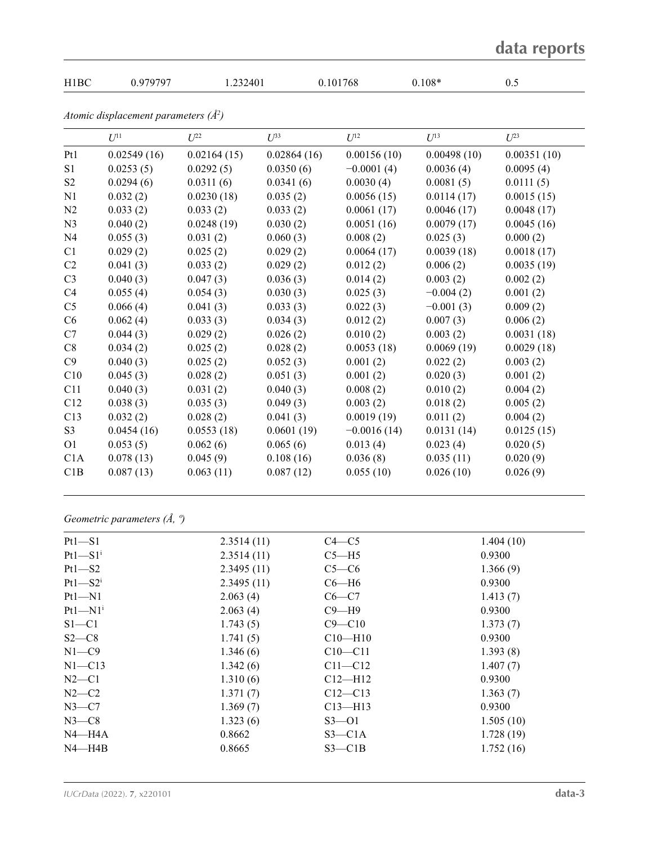|                |                                          |             |             |               |             | data reports |
|----------------|------------------------------------------|-------------|-------------|---------------|-------------|--------------|
| H1BC           | 0.979797                                 | 1.232401    |             | 0.101768      | $0.108*$    | 0.5          |
|                | Atomic displacement parameters $(\AA^2)$ |             |             |               |             |              |
|                | $U^{11}$                                 | I/22        | $I^{\beta}$ | $U^{12}$      | $I/I^3$     | $U^{23}$     |
| Pt1            | 0.02549(16)                              | 0.02164(15) | 0.02864(16) | 0.00156(10)   | 0.00498(10) | 0.00351(10)  |
| S1             | 0.0253(5)                                | 0.0292(5)   | 0.0350(6)   | $-0.0001(4)$  | 0.0036(4)   | 0.0095(4)    |
| S <sub>2</sub> | 0.0294(6)                                | 0.0311(6)   | 0.0341(6)   | 0.0030(4)     | 0.0081(5)   | 0.0111(5)    |
| N1             | 0.032(2)                                 | 0.0230(18)  | 0.035(2)    | 0.0056(15)    | 0.0114(17)  | 0.0015(15)   |
| N <sub>2</sub> | 0.033(2)                                 | 0.033(2)    | 0.033(2)    | 0.0061(17)    | 0.0046(17)  | 0.0048(17)   |
| N <sub>3</sub> | 0.040(2)                                 | 0.0248(19)  | 0.030(2)    | 0.0051(16)    | 0.0079(17)  | 0.0045(16)   |
| N4             | 0.055(3)                                 | 0.031(2)    | 0.060(3)    | 0.008(2)      | 0.025(3)    | 0.000(2)     |
| C1             | 0.029(2)                                 | 0.025(2)    | 0.029(2)    | 0.0064(17)    | 0.0039(18)  | 0.0018(17)   |
| C <sub>2</sub> | 0.041(3)                                 | 0.033(2)    | 0.029(2)    | 0.012(2)      | 0.006(2)    | 0.0035(19)   |
| C <sub>3</sub> | 0.040(3)                                 | 0.047(3)    | 0.036(3)    | 0.014(2)      | 0.003(2)    | 0.002(2)     |
| C <sub>4</sub> | 0.055(4)                                 | 0.054(3)    | 0.030(3)    | 0.025(3)      | $-0.004(2)$ | 0.001(2)     |
| C <sub>5</sub> | 0.066(4)                                 | 0.041(3)    | 0.033(3)    | 0.022(3)      | $-0.001(3)$ | 0.009(2)     |
| C <sub>6</sub> | 0.062(4)                                 | 0.033(3)    | 0.034(3)    | 0.012(2)      | 0.007(3)    | 0.006(2)     |
| C7             | 0.044(3)                                 | 0.029(2)    | 0.026(2)    | 0.010(2)      | 0.003(2)    | 0.0031(18)   |
| C8             | 0.034(2)                                 | 0.025(2)    | 0.028(2)    | 0.0053(18)    | 0.0069(19)  | 0.0029(18)   |
| C9             | 0.040(3)                                 | 0.025(2)    | 0.052(3)    | 0.001(2)      | 0.022(2)    | 0.003(2)     |
| C10            | 0.045(3)                                 | 0.028(2)    | 0.051(3)    | 0.001(2)      | 0.020(3)    | 0.001(2)     |
| C11            | 0.040(3)                                 | 0.031(2)    | 0.040(3)    | 0.008(2)      | 0.010(2)    | 0.004(2)     |
| C12            | 0.038(3)                                 | 0.035(3)    | 0.049(3)    | 0.003(2)      | 0.018(2)    | 0.005(2)     |
| C13            | 0.032(2)                                 | 0.028(2)    | 0.041(3)    | 0.0019(19)    | 0.011(2)    | 0.004(2)     |
| S3             | 0.0454(16)                               | 0.0553(18)  | 0.0601(19)  | $-0.0016(14)$ | 0.0131(14)  | 0.0125(15)   |
| O <sub>1</sub> | 0.053(5)                                 | 0.062(6)    | 0.065(6)    | 0.013(4)      | 0.023(4)    | 0.020(5)     |
| C1A            | 0.078(13)                                | 0.045(9)    | 0.108(16)   | 0.036(8)      | 0.035(11)   | 0.020(9)     |
| C1B            | 0.087(13)                                | 0.063(11)   | 0.087(12)   | 0.055(10)     | 0.026(10)   | 0.026(9)     |

*Geometric parameters (Å, º)*

| $Pt1 - S1$              | 2.3514(11) | $C4 - C5$   | 1.404(10) |
|-------------------------|------------|-------------|-----------|
| $Pt1-S1$ <sup>i</sup>   | 2.3514(11) | $C5 - H5$   | 0.9300    |
| $Pt1 - S2$              | 2.3495(11) | $C5-C6$     | 1.366(9)  |
| $Pt1 - S2$ <sup>i</sup> | 2.3495(11) | $C6 - H6$   | 0.9300    |
| $Pt1 - N1$              | 2.063(4)   | $C6-C7$     | 1.413(7)  |
| $Pt1 - N1$ <sup>i</sup> | 2.063(4)   | $C9 - H9$   | 0.9300    |
| $S1 - C1$               | 1.743(5)   | $C9 - C10$  | 1.373(7)  |
| $S2-C8$                 | 1.741(5)   | $C10 - H10$ | 0.9300    |
| $N1 - C9$               | 1.346(6)   | $C10 - C11$ | 1.393(8)  |
| $N1 - C13$              | 1.342(6)   | $C11 - C12$ | 1.407(7)  |
| $N2-C1$                 | 1.310(6)   | $Cl2-H12$   | 0.9300    |
| $N2-C2$                 | 1.371(7)   | $C12 - C13$ | 1.363(7)  |
| $N3-C7$                 | 1.369(7)   | $C13 - H13$ | 0.9300    |
| $N3-C8$                 | 1.323(6)   | $S3 - 01$   | 1.505(10) |
| $N4 - H4A$              | 0.8662     | $S3 - C1A$  | 1.728(19) |
| $N4 - H4B$              | 0.8665     | $S3 - C1B$  | 1.752(16) |
|                         |            |             |           |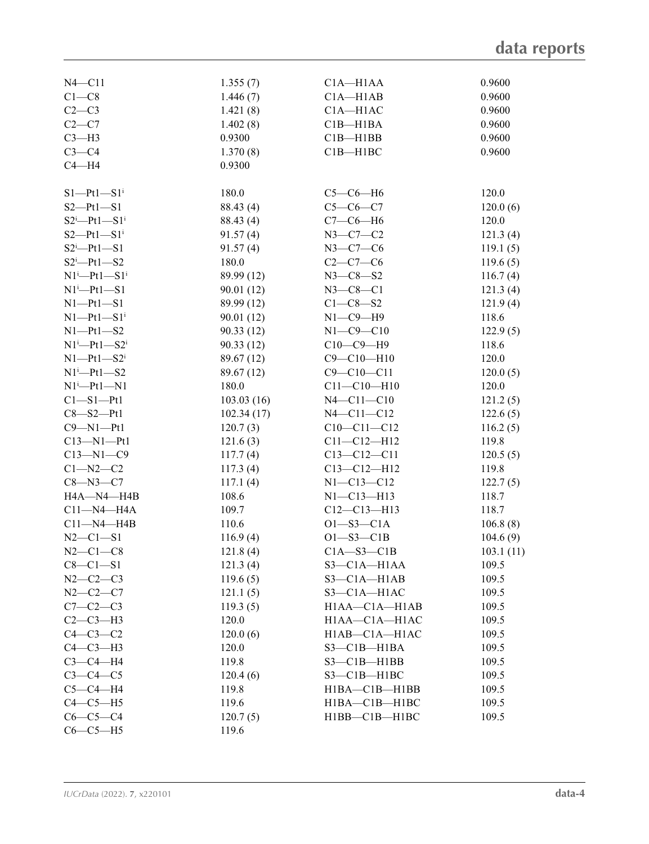| $N4 - C11$                   | 1.355(7)   | $C1A - H1AA$        | 0.9600    |
|------------------------------|------------|---------------------|-----------|
| $C1-C8$                      | 1.446(7)   | $C1A - H1AB$        | 0.9600    |
| $C2-C3$                      | 1.421(8)   | $C1A - H1AC$        | 0.9600    |
| $C2-C7$                      | 1.402(8)   | $C1B - H1BA$        | 0.9600    |
| $C3-H3$                      | 0.9300     | $C1B - H1BB$        | 0.9600    |
| $C3-C4$                      | 1.370(8)   | $C1B - H1BC$        | 0.9600    |
| $C4 - H4$                    | 0.9300     |                     |           |
|                              |            |                     |           |
| $S1-Pt1-S1$ <sup>i</sup>     | 180.0      | $C5-C6-H6$          | 120.0     |
| $S2 - Pt1 - S1$              | 88.43 (4)  | $C5-C6-C7$          | 120.0(6)  |
| $S2^i$ -Pt1- $S1^i$          | 88.43 (4)  | $C7-C6-H6$          | 120.0     |
| $S2-Pt1-S1$ <sup>i</sup>     | 91.57(4)   | $N3-C7-C2$          | 121.3(4)  |
| $S2^i$ -Pt1-S1               | 91.57(4)   | $N3 - C7 - C6$      | 119.1(5)  |
| $S2^i$ -Pt1-S2               | 180.0      | $C2-C7-C6$          | 119.6(5)  |
| $N1^i$ -Pt1-S1 <sup>i</sup>  | 89.99 (12) | $N3 - C8 - S2$      | 116.7(4)  |
| $N1^i$ -Pt1-S1               | 90.01(12)  | $N3 - C8 - C1$      | 121.3(4)  |
| $N1 - Pt1 - SI$              | 89.99 (12) | $C1 - C8 - S2$      | 121.9(4)  |
| $N1 - Pt1 - S1$ <sup>i</sup> | 90.01(12)  | $N1-C9-H9$          | 118.6     |
| $N1 - Pt1 - S2$              | 90.33(12)  | $N1 - C9 - C10$     | 122.9(5)  |
| $N1^i$ -Pt1-S2 <sup>i</sup>  | 90.33(12)  | $C10-C9-H9$         | 118.6     |
| $N1 - Pt1 - S2$ <sup>i</sup> | 89.67 (12) | $C9 - C10 - H10$    | 120.0     |
| $N1^i$ -Pt1-S2               | 89.67 (12) | $C9 - C10 - C11$    | 120.0(5)  |
| $N1$ <sup>i</sup> -Pt1-N1    | 180.0      | $C11 - C10 - H10$   | 120.0     |
| $C1 - S1 - Pt1$              | 103.03(16) | $N4 - C11 - C10$    | 121.2(5)  |
| $C8 - S2 - Pt1$              | 102.34(17) | $N4 - C11 - C12$    | 122.6(5)  |
| $C9 - N1 - Pt1$              | 120.7(3)   | $C10-C11-C12$       | 116.2(5)  |
| $C13 - N1 - Pt1$             | 121.6(3)   | $C11 - C12 - H12$   | 119.8     |
| $C13 - N1 - C9$              | 117.7(4)   | $C13 - C12 - C11$   | 120.5(5)  |
| $C1 - N2 - C2$               | 117.3(4)   | $C13 - C12 - H12$   | 119.8     |
| $C8 - N3 - C7$               | 117.1(4)   | $N1 - C13 - C12$    | 122.7(5)  |
| H4A-N4-H4B                   | 108.6      | $N1 - C13 - H13$    | 118.7     |
| $C11 - N4 - H4A$             | 109.7      | $C12-C13-H13$       | 118.7     |
| $C11 - N4 - H4B$             | 110.6      | $O1 - S3 - C1A$     | 106.8(8)  |
| $N2 - C1 - S1$               | 116.9(4)   | $O1 - S3 - C1B$     | 104.6(9)  |
| $N2-C1-C8$                   | 121.8(4)   | $C1A - S3 - C1B$    | 103.1(11) |
| $C8-C1-S1$                   | 121.3(4)   | $S3-C1A-H1AA$       | 109.5     |
| $N2 - C2 - C3$               | 119.6(5)   | $S3 - C1A - H1AB$   | 109.5     |
| $N2 - C2 - C7$               | 121.1(5)   | $S3 - C1A - H1AC$   | 109.5     |
| $C7-C2-C3$                   | 119.3(5)   | $H1AA - C1A - H1AB$ | 109.5     |
| $C2-C3-H3$                   | 120.0      | H1AA-C1A-H1AC       | 109.5     |
| $C4-C3-C2$                   | 120.0(6)   | H1AB-C1A-H1AC       | 109.5     |
| $C4-C3-H3$                   | 120.0      | $S3 - C1B - H1BA$   | 109.5     |
| $C3-C4-H4$                   | 119.8      | $S3 - C1B - H1BB$   | 109.5     |
| $C3-C4-C5$                   | 120.4(6)   | $S3 - C1B - H1BC$   | 109.5     |
| $C5-C4-H4$                   | 119.8      | $H1BA-C1B-H1BB$     | 109.5     |
| $C4-C5-H5$                   | 119.6      | H1BA-C1B-H1BC       | 109.5     |
| $C6-C5-C4$                   | 120.7(5)   | H1BB-C1B-H1BC       | 109.5     |
| $C6-C5-H5$                   | 119.6      |                     |           |